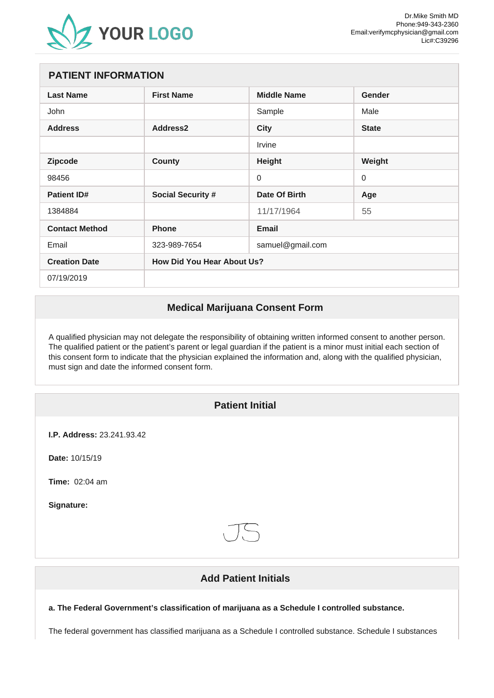

# **PATIENT INFORMATION Last Name First Name Middle Name Gender**  John Sample Male **Address Address2 City State** Irvine **Zipcode County Height Weight** 98456 0 0 **Patient ID# Social Security # Date Of Birth Age** 1384884 11/17/1964 55 **Contact Method Phone Email**  Email 323-989-7654 samuel@gmail.com **Creation Date How Did You Hear About Us?** 07/19/2019

# **Medical Marijuana Consent Form**

A qualified physician may not delegate the responsibility of obtaining written informed consent to another person. The qualified patient or the patient's parent or legal guardian if the patient is a minor must initial each section of this consent form to indicate that the physician explained the information and, along with the qualified physician, must sign and date the informed consent form.

# **Patient Initial**

**I.P. Address:** 23.241.93.42

**Date:** 10/15/19

**Time:** 02:04 am

**Signature:** 



# **Add Patient Initials**

#### **a. The Federal Government's classification of marijuana as a Schedule I controlled substance.**

The federal government has classified marijuana as a Schedule I controlled substance. Schedule I substances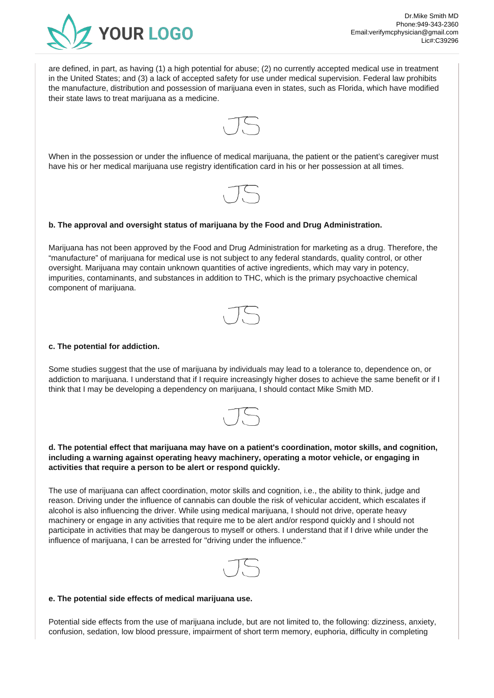

are defined, in part, as having (1) a high potential for abuse; (2) no currently accepted medical use in treatment in the United States; and (3) a lack of accepted safety for use under medical supervision. Federal law prohibits the manufacture, distribution and possession of marijuana even in states, such as Florida, which have modified their state laws to treat marijuana as a medicine.



When in the possession or under the influence of medical marijuana, the patient or the patient's caregiver must have his or her medical marijuana use registry identification card in his or her possession at all times.



## **b. The approval and oversight status of marijuana by the Food and Drug Administration.**

Marijuana has not been approved by the Food and Drug Administration for marketing as a drug. Therefore, the "manufacture" of marijuana for medical use is not subject to any federal standards, quality control, or other oversight. Marijuana may contain unknown quantities of active ingredients, which may vary in potency, impurities, contaminants, and substances in addition to THC, which is the primary psychoactive chemical component of marijuana.



#### **c. The potential for addiction.**

Some studies suggest that the use of marijuana by individuals may lead to a tolerance to, dependence on, or addiction to marijuana. I understand that if I require increasingly higher doses to achieve the same benefit or if I think that I may be developing a dependency on marijuana, I should contact Mike Smith MD.



## **d. The potential effect that marijuana may have on a patient's coordination, motor skills, and cognition, including a warning against operating heavy machinery, operating a motor vehicle, or engaging in activities that require a person to be alert or respond quickly.**

The use of marijuana can affect coordination, motor skills and cognition, i.e., the ability to think, judge and reason. Driving under the influence of cannabis can double the risk of vehicular accident, which escalates if alcohol is also influencing the driver. While using medical marijuana, I should not drive, operate heavy machinery or engage in any activities that require me to be alert and/or respond quickly and I should not participate in activities that may be dangerous to myself or others. I understand that if I drive while under the influence of marijuana, I can be arrested for "driving under the influence."



#### **e. The potential side effects of medical marijuana use.**

Potential side effects from the use of marijuana include, but are not limited to, the following: dizziness, anxiety, confusion, sedation, low blood pressure, impairment of short term memory, euphoria, difficulty in completing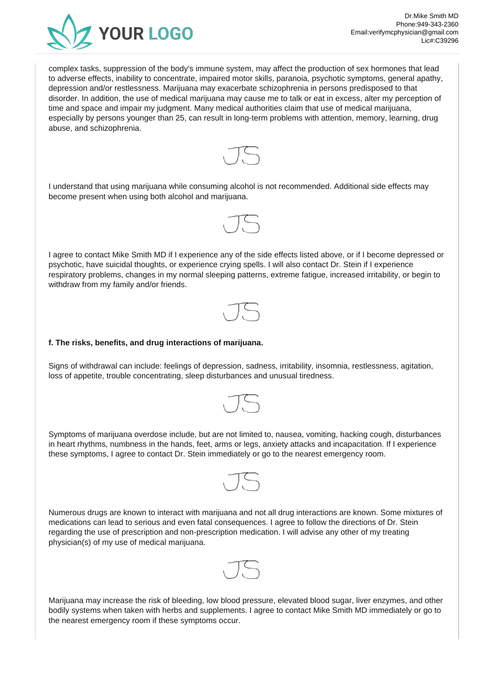

complex tasks, suppression of the body's immune system, may affect the production of sex hormones that lead to adverse effects, inability to concentrate, impaired motor skills, paranoia, psychotic symptoms, general apathy, depression and/or restlessness. Marijuana may exacerbate schizophrenia in persons predisposed to that disorder. In addition, the use of medical marijuana may cause me to talk or eat in excess, alter my perception of time and space and impair my judgment. Many medical authorities claim that use of medical marijuana, especially by persons younger than 25, can result in long-term problems with attention, memory, learning, drug abuse, and schizophrenia.



I understand that using marijuana while consuming alcohol is not recommended. Additional side effects may become present when using both alcohol and marijuana.



I agree to contact Mike Smith MD if I experience any of the side effects listed above, or if I become depressed or psychotic, have suicidal thoughts, or experience crying spells. I will also contact Dr. Stein if I experience respiratory problems, changes in my normal sleeping patterns, extreme fatigue, increased irritability, or begin to withdraw from my family and/or friends.



## **f. The risks, benefits, and drug interactions of marijuana.**

Signs of withdrawal can include: feelings of depression, sadness, irritability, insomnia, restlessness, agitation, loss of appetite, trouble concentrating, sleep disturbances and unusual tiredness.

Symptoms of marijuana overdose include, but are not limited to, nausea, vomiting, hacking cough, disturbances in heart rhythms, numbness in the hands, feet, arms or legs, anxiety attacks and incapacitation. If I experience these symptoms, I agree to contact Dr. Stein immediately or go to the nearest emergency room.



Numerous drugs are known to interact with marijuana and not all drug interactions are known. Some mixtures of medications can lead to serious and even fatal consequences. I agree to follow the directions of Dr. Stein regarding the use of prescription and non-prescription medication. I will advise any other of my treating physician(s) of my use of medical marijuana.



Marijuana may increase the risk of bleeding, low blood pressure, elevated blood sugar, liver enzymes, and other bodily systems when taken with herbs and supplements. I agree to contact Mike Smith MD immediately or go to the nearest emergency room if these symptoms occur.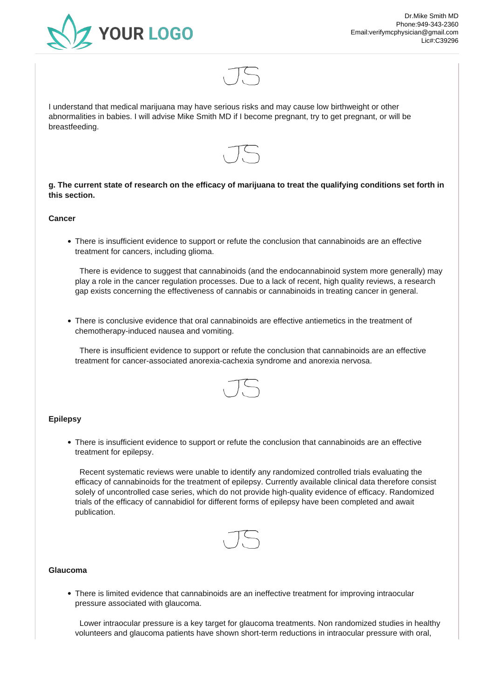



I understand that medical marijuana may have serious risks and may cause low birthweight or other abnormalities in babies. I will advise Mike Smith MD if I become pregnant, try to get pregnant, or will be breastfeeding.



**g. The current state of research on the efficacy of marijuana to treat the qualifying conditions set forth in this section.**

#### **Cancer**

There is insufficient evidence to support or refute the conclusion that cannabinoids are an effective treatment for cancers, including glioma.

 There is evidence to suggest that cannabinoids (and the endocannabinoid system more generally) may play a role in the cancer regulation processes. Due to a lack of recent, high quality reviews, a research gap exists concerning the effectiveness of cannabis or cannabinoids in treating cancer in general.

There is conclusive evidence that oral cannabinoids are effective antiemetics in the treatment of chemotherapy-induced nausea and vomiting.

 There is insufficient evidence to support or refute the conclusion that cannabinoids are an effective treatment for cancer-associated anorexia-cachexia syndrome and anorexia nervosa.



#### **Epilepsy**

There is insufficient evidence to support or refute the conclusion that cannabinoids are an effective treatment for epilepsy.

 Recent systematic reviews were unable to identify any randomized controlled trials evaluating the efficacy of cannabinoids for the treatment of epilepsy. Currently available clinical data therefore consist solely of uncontrolled case series, which do not provide high-quality evidence of efficacy. Randomized trials of the efficacy of cannabidiol for different forms of epilepsy have been completed and await publication.



#### **Glaucoma**

There is limited evidence that cannabinoids are an ineffective treatment for improving intraocular pressure associated with glaucoma.

 Lower intraocular pressure is a key target for glaucoma treatments. Non randomized studies in healthy volunteers and glaucoma patients have shown short-term reductions in intraocular pressure with oral,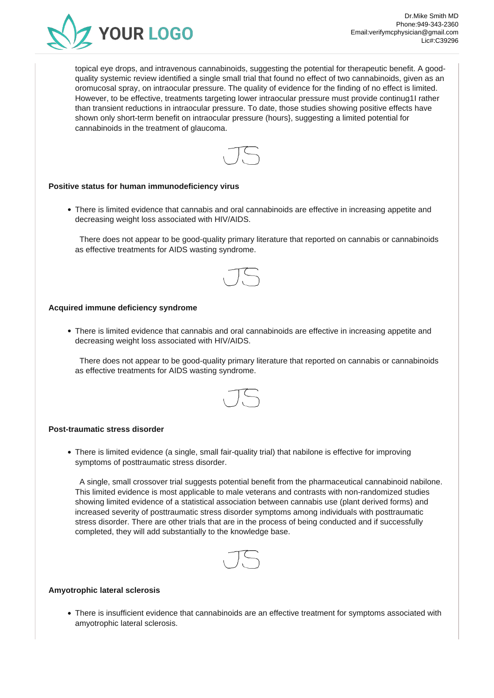

topical eye drops, and intravenous cannabinoids, suggesting the potential for therapeutic benefit. A goodquality systemic review identified a single small trial that found no effect of two cannabinoids, given as an oromucosal spray, on intraocular pressure. The quality of evidence for the finding of no effect is limited. However, to be effective, treatments targeting lower intraocular pressure must provide continug1I rather than transient reductions in intraocular pressure. To date, those studies showing positive effects have shown only short-term benefit on intraocular pressure (hours}, suggesting a limited potential for cannabinoids in the treatment of glaucoma.



## **Positive status for human immunodeficiency virus**

There is limited evidence that cannabis and oral cannabinoids are effective in increasing appetite and decreasing weight loss associated with HIV/AIDS.

 There does not appear to be good-quality primary literature that reported on cannabis or cannabinoids as effective treatments for AIDS wasting syndrome.



#### **Acquired immune deficiency syndrome**

There is limited evidence that cannabis and oral cannabinoids are effective in increasing appetite and decreasing weight loss associated with HIV/AIDS.

 There does not appear to be good-quality primary literature that reported on cannabis or cannabinoids as effective treatments for AIDS wasting syndrome.



#### **Post-traumatic stress disorder**

There is limited evidence (a single, small fair-quality trial) that nabilone is effective for improving symptoms of posttraumatic stress disorder.

 A single, small crossover trial suggests potential benefit from the pharmaceutical cannabinoid nabilone. This limited evidence is most applicable to male veterans and contrasts with non-randomized studies showing limited evidence of a statistical association between cannabis use (plant derived forms) and increased severity of posttraumatic stress disorder symptoms among individuals with posttraumatic stress disorder. There are other trials that are in the process of being conducted and if successfully completed, they will add substantially to the knowledge base.



#### **Amyotrophic lateral sclerosis**

There is insufficient evidence that cannabinoids are an effective treatment for symptoms associated with amyotrophic lateral sclerosis.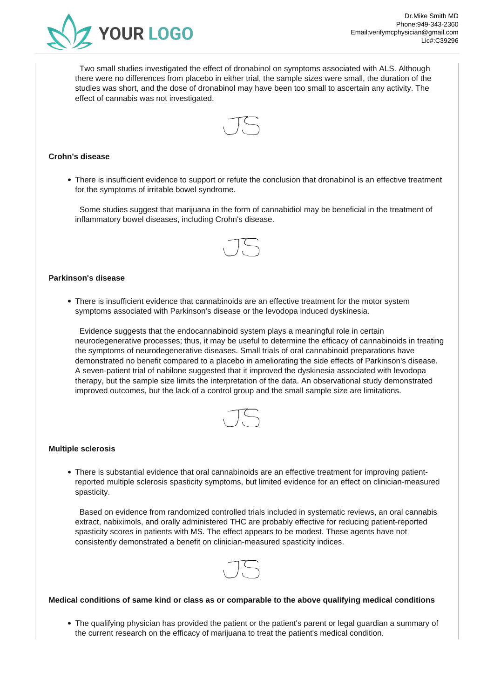

 Two small studies investigated the effect of dronabinol on symptoms associated with ALS. Although there were no differences from placebo in either trial, the sample sizes were small, the duration of the studies was short, and the dose of dronabinol may have been too small to ascertain any activity. The effect of cannabis was not investigated.



#### **Crohn's disease**

There is insufficient evidence to support or refute the conclusion that dronabinol is an effective treatment for the symptoms of irritable bowel syndrome.

 Some studies suggest that marijuana in the form of cannabidiol may be beneficial in the treatment of inflammatory bowel diseases, including Crohn's disease.



#### **Parkinson's disease**

There is insufficient evidence that cannabinoids are an effective treatment for the motor system symptoms associated with Parkinson's disease or the levodopa induced dyskinesia.

 Evidence suggests that the endocannabinoid system plays a meaningful role in certain neurodegenerative processes; thus, it may be useful to determine the efficacy of cannabinoids in treating the symptoms of neurodegenerative diseases. Small trials of oral cannabinoid preparations have demonstrated no benefit compared to a placebo in ameliorating the side effects of Parkinson's disease. A seven-patient trial of nabilone suggested that it improved the dyskinesia associated with levodopa therapy, but the sample size limits the interpretation of the data. An observational study demonstrated improved outcomes, but the lack of a control group and the small sample size are limitations.



#### **Multiple sclerosis**

There is substantial evidence that oral cannabinoids are an effective treatment for improving patientreported multiple sclerosis spasticity symptoms, but limited evidence for an effect on clinician-measured spasticity.

 Based on evidence from randomized controlled trials included in systematic reviews, an oral cannabis extract, nabiximols, and orally administered THC are probably effective for reducing patient-reported spasticity scores in patients with MS. The effect appears to be modest. These agents have not consistently demonstrated a benefit on clinician-measured spasticity indices.



#### **Medical conditions of same kind or class as or comparable to the above qualifying medical conditions**

The qualifying physician has provided the patient or the patient's parent or legal guardian a summary of the current research on the efficacy of marijuana to treat the patient's medical condition.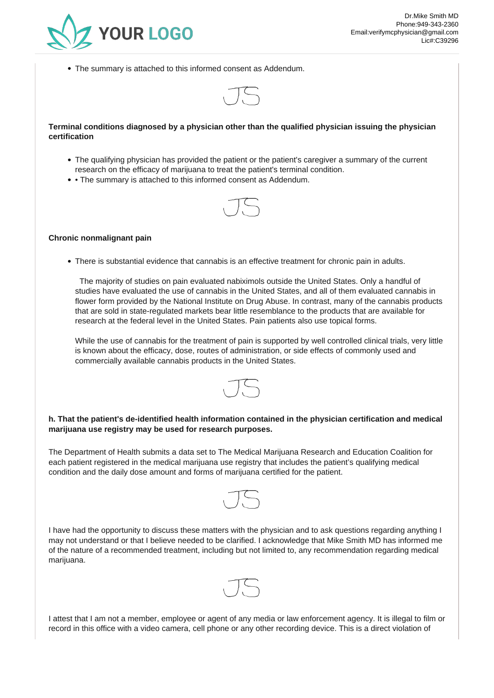

The summary is attached to this informed consent as Addendum.



## **Terminal conditions diagnosed by a physician other than the qualified physician issuing the physician certification**

- The qualifying physician has provided the patient or the patient's caregiver a summary of the current research on the efficacy of marijuana to treat the patient's terminal condition.
- The summary is attached to this informed consent as Addendum.



#### **Chronic nonmalignant pain**

There is substantial evidence that cannabis is an effective treatment for chronic pain in adults.

 The majority of studies on pain evaluated nabiximols outside the United States. Only a handful of studies have evaluated the use of cannabis in the United States, and all of them evaluated cannabis in flower form provided by the National Institute on Drug Abuse. In contrast, many of the cannabis products that are sold in state-regulated markets bear little resemblance to the products that are available for research at the federal level in the United States. Pain patients also use topical forms.

While the use of cannabis for the treatment of pain is supported by well controlled clinical trials, very little is known about the efficacy, dose, routes of administration, or side effects of commonly used and commercially available cannabis products in the United States.



## **h. That the patient's de-identified health information contained in the physician certification and medical marijuana use registry may be used for research purposes.**

The Department of Health submits a data set to The Medical Marijuana Research and Education Coalition for each patient registered in the medical marijuana use registry that includes the patient's qualifying medical condition and the daily dose amount and forms of marijuana certified for the patient.



I have had the opportunity to discuss these matters with the physician and to ask questions regarding anything I may not understand or that I believe needed to be clarified. I acknowledge that Mike Smith MD has informed me of the nature of a recommended treatment, including but not limited to, any recommendation regarding medical marijuana.



I attest that I am not a member, employee or agent of any media or law enforcement agency. It is illegal to film or record in this office with a video camera, cell phone or any other recording device. This is a direct violation of